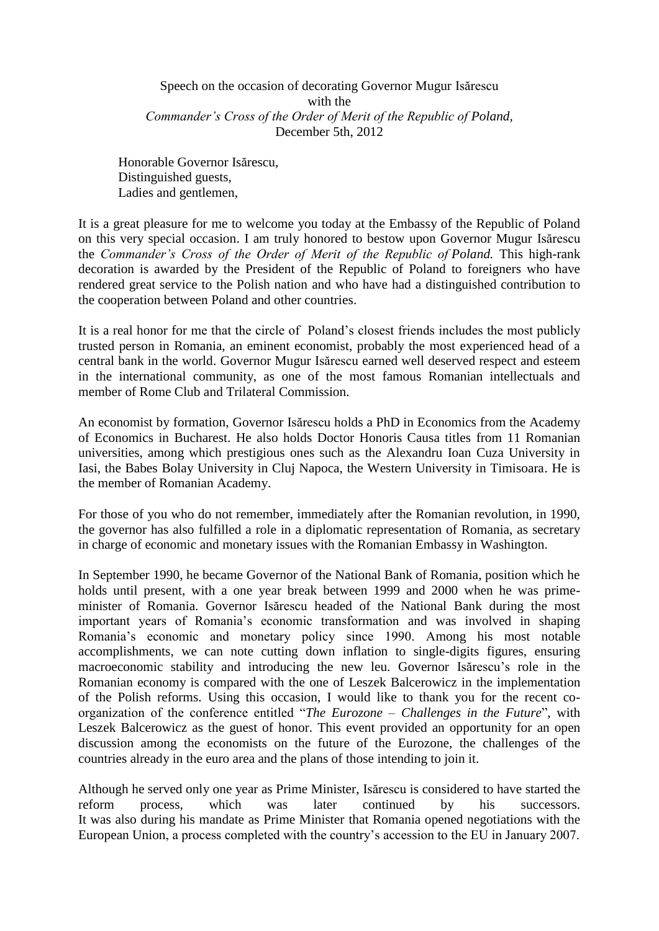Speech on the occasion of decorating Governor Mugur Isărescu with the *Commander's Cross of the Order of Merit of the Republic of Poland*, December 5th, 2012

Honorable Governor Isărescu, Distinguished guests, Ladies and gentlemen,

It is a great pleasure for me to welcome you today at the Embassy of the Republic of Poland on this very special occasion. I am truly honored to bestow upon Governor Mugur Isărescu the *Commander's Cross of the Order of Merit of the Republic of Poland.* This high-rank decoration is awarded by the President of the Republic of Poland to foreigners who have rendered great service to the Polish nation and who have had a distinguished contribution to the cooperation between Poland and other countries.

It is a real honor for me that the circle of Poland's closest friends includes the most publicly trusted person in Romania, an eminent economist, probably the most experienced head of a central bank in the world. Governor Mugur Isărescu earned well deserved respect and esteem in the international community, as one of the most famous Romanian intellectuals and member of Rome Club and Trilateral Commission.

An economist by formation, Governor Isărescu holds a PhD in Economics from the Academy of Economics in Bucharest. He also holds Doctor Honoris Causa titles from 11 Romanian universities, among which prestigious ones such as the Alexandru Ioan Cuza University in Iasi, the Babes Bolay University in Cluj Napoca, the Western University in Timisoara. He is the member of Romanian Academy.

For those of you who do not remember, immediately after the Romanian revolution, in 1990, the governor has also fulfilled a role in a diplomatic representation of Romania, as secretary in charge of economic and monetary issues with the Romanian Embassy in Washington.

In September 1990, he became Governor of the National Bank of Romania, position which he holds until present, with a one year break between 1999 and 2000 when he was primeminister of Romania. Governor Isărescu headed of the National Bank during the most important years of Romania's economic transformation and was involved in shaping Romania's economic and monetary policy since 1990. Among his most notable accomplishments, we can note cutting down inflation to single-digits figures, ensuring macroeconomic stability and introducing the new leu. Governor Isărescu's role in the Romanian economy is compared with the one of Leszek Balcerowicz in the implementation of the Polish reforms. Using this occasion, I would like to thank you for the recent coorganization of the conference entitled "*The Eurozone – Challenges in the Future*", with Leszek Balcerowicz as the guest of honor. This event provided an opportunity for an open discussion among the economists on the future of the Eurozone, the challenges of the countries already in the euro area and the plans of those intending to join it.

Although he served only one year as Prime Minister, Isărescu is considered to have started the reform process, which was later continued by his successors. It was also during his mandate as Prime Minister that Romania opened negotiations with the European Union, a process completed with the country's accession to the EU in January 2007.